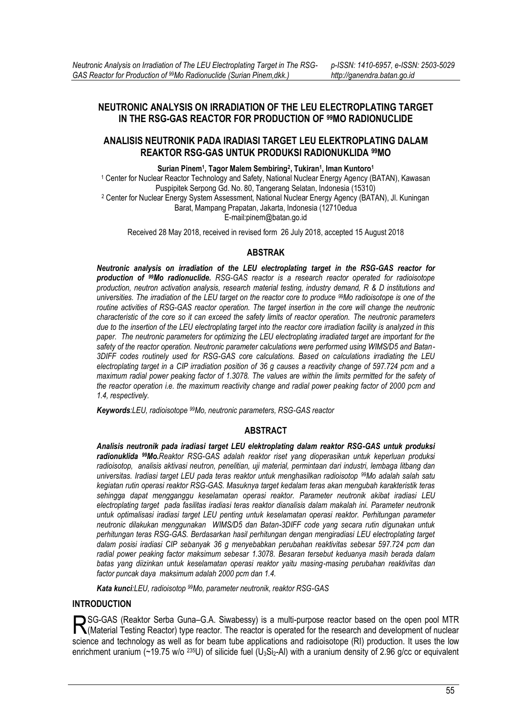# **NEUTRONIC ANALYSIS ON IRRADIATION OF THE LEU ELECTROPLATING TARGET IN THE RSG-GAS REACTOR FOR PRODUCTION OF 99MO RADIONUCLIDE**

# **ANALISIS NEUTRONIK PADA IRADIASI TARGET LEU ELEKTROPLATING DALAM REAKTOR RSG-GAS UNTUK PRODUKSI RADIONUKLIDA 99MO**

**Surian Pinem<sup>1</sup> , Tagor Malem Sembiring<sup>2</sup> , Tukiran<sup>1</sup> , Iman Kuntoro<sup>1</sup>**

1 Center for Nuclear Reactor Technology and Safety, National Nuclear Energy Agency (BATAN), Kawasan Puspipitek Serpong Gd. No. 80, Tangerang Selatan, Indonesia (15310) 2 Center for Nuclear Energy System Assessment, National Nuclear Energy Agency (BATAN), Jl. Kuningan Barat, Mampang Prapatan, Jakarta, Indonesia (12710edua E-mail:pinem@batan.go.id

Received 28 May 2018, received in revised form 26 July 2018, accepted 15 August 2018

### **ABSTRAK**

*Neutronic analysis on irradiation of the LEU electroplating target in the RSG-GAS reactor for production of 99Mo radionuclide. RSG-GAS reactor is a research reactor operated for radioisotope production, neutron activation analysis, research material testing, industry demand, R & D institutions and universities. The irradiation of the LEU target on the reactor core to produce 99Mo radioisotope is one of the*  routine activities of RSG-GAS reactor operation. The target insertion in the core will change the neutronic *characteristic of the core so it can exceed the safety limits of reactor operation. The neutronic parameters due to the insertion of the LEU electroplating target into the reactor core irradiation facility is analyzed in this paper. The neutronic parameters for optimizing the LEU electroplating irradiated target are important for the safety of the reactor operation. Neutronic parameter calculations were performed using WIMS/D5 and Batan-3DIFF codes routinely used for RSG-GAS core calculations. Based on calculations irradiating the LEU electroplating target in a CIP irradiation position of 36 g causes a reactivity change of 597.724 pcm and a*  maximum radial power peaking factor of 1.3078. The values are within the limits permitted for the safety of *the reactor operation i.e. the maximum reactivity change and radial power peaking factor of 2000 pcm and 1.4, respectively.* 

*Keywords:LEU, radioisotope 99Mo, neutronic parameters, RSG-GAS reactor* 

# **ABSTRACT**

*Analisis neutronik pada iradiasi target LEU elektroplating dalam reaktor RSG-GAS untuk produksi radionuklida 99Mo.Reaktor RSG-GAS adalah reaktor riset yang dioperasikan untuk keperluan produksi radioisotop, analisis aktivasi neutron, penelitian, uji material, permintaan dari industri, lembaga litbang dan universitas. Iradiasi target LEU pada teras reaktor untuk menghasilkan radioisotop 99Mo adalah salah satu kegiatan rutin operasi reaktor RSG-GAS. Masuknya target kedalam teras akan mengubah karakteristik teras sehingga dapat mengganggu keselamatan operasi reaktor. Parameter neutronik akibat iradiasi LEU electroplating target pada fasilitas iradiasi teras reaktor dianalisis dalam makalah ini. Parameter neutronik untuk optimalisasi iradiasi target LEU penting untuk keselamatan operasi reaktor. Perhitungan parameter neutronic dilakukan menggunakan WIMS/D5 dan Batan-3DIFF code yang secara rutin digunakan untuk perhitungan teras RSG-GAS. Berdasarkan hasil perhitungan dengan mengiradiasi LEU electroplating target dalam posisi iradiasi CIP sebanyak 36 g menyebabkan perubahan reaktivitas sebesar 597.724 pcm dan radial power peaking factor maksimum sebesar 1.3078. Besaran tersebut keduanya masih berada dalam batas yang diizinkan untuk keselamatan operasi reaktor yaitu masing-masing perubahan reaktivitas dan factor puncak daya maksimum adalah 2000 pcm dan 1.4.* 

*Kata kunci:LEU, radioisotop 99Mo, parameter neutronik, reaktor RSG-GAS* 

# **INTRODUCTION**

SG-GAS (Reaktor Serba Guna–G.A. Siwabessy) is a multi-purpose reactor based on the open pool MTR RSG-GAS (Reaktor Serba Guna–G.A. Siwabessy) is a multi-purpose reactor based on the open pool MTR<br>(Material Testing Reactor) type reactor. The reactor is operated for the research and development of nuclear science and technology as well as for beam tube applications and radioisotope (RI) production. It uses the low enrichment uranium (~19.75 w/o  $^{235}$ U) of silicide fuel (U<sub>3</sub>Si<sub>2</sub>-AI) with a uranium density of 2.96 g/cc or equivalent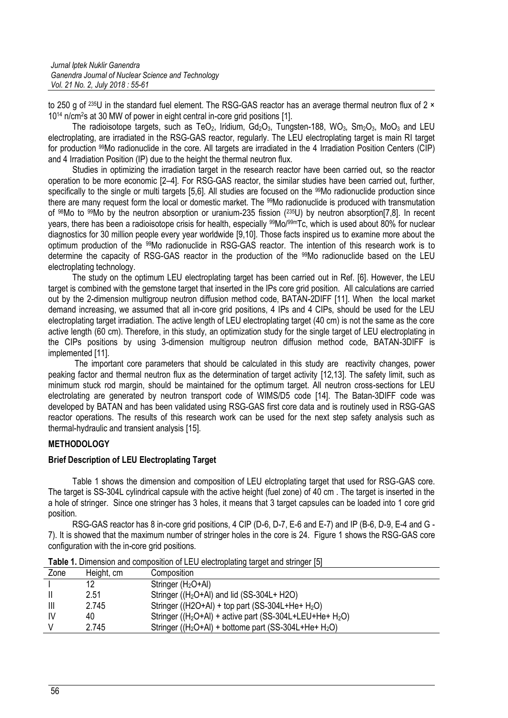to 250 g of <sup>235</sup>U in the standard fuel element. The RSG-GAS reactor has an average thermal neutron flux of 2 × 1014 n/cm2s at 30 MW of power in eight central in-core grid positions [1].

The radioisotope targets, such as TeO<sub>2</sub>, Iridium, Gd<sub>2</sub>O<sub>3</sub>, Tungsten-188, WO<sub>3</sub>, Sm<sub>2</sub>O<sub>3</sub>, MoO<sub>3</sub> and LEU electroplating, are irradiated in the RSG-GAS reactor, regularly. The LEU electroplating target is main RI target for production 99Mo radionuclide in the core. All targets are irradiated in the 4 Irradiation Position Centers (CIP) and 4 Irradiation Position (IP) due to the height the thermal neutron flux.

Studies in optimizing the irradiation target in the research reactor have been carried out, so the reactor operation to be more economic [2-4]. For RSG-GAS reactor, the similar studies have been carried out, further, specifically to the single or multi targets [5,6]. All studies are focused on the 99Mo radionuclide production since there are many request form the local or domestic market. The <sup>99</sup>Mo radionuclide is produced with transmutation of 98Mo to 99Mo by the neutron absorption or uranium-235 fission (235U) by neutron absorption[7,8]. In recent years, there has been a radioisotope crisis for health, especially 99Mo/99mTc, which is used about 80% for nuclear diagnostics for 30 million people every year worldwide [9,10]. Those facts inspired us to examine more about the optimum production of the 99Mo radionuclide in RSG-GAS reactor. The intention of this research work is to determine the capacity of RSG-GAS reactor in the production of the 99Mo radionuclide based on the LEU electroplating technology.

The study on the optimum LEU electroplating target has been carried out in Ref. [6]. However, the LEU target is combined with the gemstone target that inserted in the IPs core grid position. All calculations are carried out by the 2-dimension multigroup neutron diffusion method code, BATAN-2DIFF [11]. When the local market demand increasing, we assumed that all in-core grid positions, 4 IPs and 4 CIPs, should be used for the LEU electroplating target irradiation. The active length of LEU electroplating target (40 cm) is not the same as the core active length (60 cm). Therefore, in this study, an optimization study for the single target of LEU electroplating in the CIPs positions by using 3-dimension multigroup neutron diffusion method code, BATAN-3DIFF is implemented [11].

 The important core parameters that should be calculated in this study are reactivity changes, power peaking factor and thermal neutron flux as the determination of target activity [12,13]. The safety limit, such as minimum stuck rod margin, should be maintained for the optimum target. All neutron cross-sections for LEU electrolating are generated by neutron transport code of WIMS/D5 code [14]. The Batan-3DIFF code was developed by BATAN and has been validated using RSG-GAS first core data and is routinely used in RSG-GAS reactor operations. The results of this research work can be used for the next step safety analysis such as thermal-hydraulic and transient analysis [15].

# **METHODOLOGY**

### **Brief Description of LEU Electroplating Target**

Table 1 shows the dimension and composition of LEU elctroplating target that used for RSG-GAS core. The target is SS-304L cylindrical capsule with the active height (fuel zone) of 40 cm . The target is inserted in the a hole of stringer. Since one stringer has 3 holes, it means that 3 target capsules can be loaded into 1 core grid position.

RSG-GAS reactor has 8 in-core grid positions, 4 CIP (D-6, D-7, E-6 and E-7) and IP (B-6, D-9, E-4 and G - 7). It is showed that the maximum number of stringer holes in the core is 24. Figure 1 shows the RSG-GAS core configuration with the in-core grid positions.

| Zone | Height, cm | Composition                                                                      |
|------|------------|----------------------------------------------------------------------------------|
|      | 12         | Stringer $(H_2O+Al)$                                                             |
|      | 2.51       | Stringer ((H <sub>2</sub> O+Al) and lid (SS-304L+ H2O)                           |
| Ш    | 2.745      | Stringer ( $(H2O+Al)$ + top part (SS-304L+He+ H <sub>2</sub> O)                  |
| IV   | 40         | Stringer ((H <sub>2</sub> O+Al) + active part (SS-304L+LEU+He+ H <sub>2</sub> O) |
|      | 2.745      | Stringer ( $(H_2O+AI)$ + bottome part (SS-304L+He+ $H_2O$ )                      |
|      |            |                                                                                  |

**Table 1.** Dimension and composition of LEU electroplating target and stringer [5]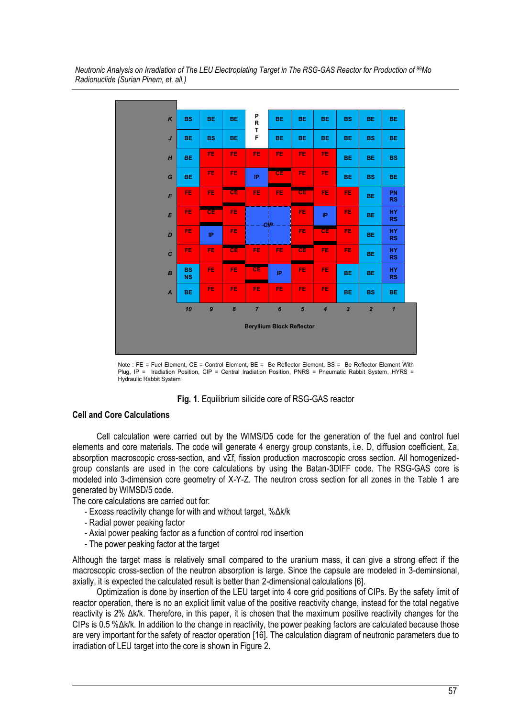

*Neutronic Analysis on Irradiation of The LEU Electroplating Target in The RSG-GAS Reactor for Production of <sup>99</sup>Mo Radionuclide (Surian Pinem, et. all.)* 

Note :  $FF = Fun$  Element,  $CF = Control$  Element,  $BF = \text{Re}$  Reflector Element, BS = Be Reflector Element With Plug, IP = Iradiation Position, CIP = Central Iradiation Position, PNRS = Pneumatic Rabbit System, HYRS = Hydraulic Rabbit System

#### **Fig. 1**. Equilibrium silicide core of RSG-GAS reactor

### **Cell and Core Calculations**

Cell calculation were carried out by the WIMS/D5 code for the generation of the fuel and control fuel elements and core materials. The code will generate 4 energy group constants, i.e. D, diffusion coefficient,  $\Sigma$ a, absorption macroscopic cross-section, and  $v\Sigma f$ , fission production macroscopic cross section. All homogenizedgroup constants are used in the core calculations by using the Batan-3DIFF code. The RSG-GAS core is modeled into 3-dimension core geometry of X-Y-Z. The neutron cross section for all zones in the Table 1 are generated by WIMSD/5 code.

The core calculations are carried out for:

- Excess reactivity change for with and without target,  $% \Delta k/k$
- Radial power peaking factor
- Axial power peaking factor as a function of control rod insertion
- The power peaking factor at the target

Although the target mass is relatively small compared to the uranium mass, it can give a strong effect if the macroscopic cross-section of the neutron absorption is large. Since the capsule are modeled in 3-deminsional, axially, it is expected the calculated result is better than 2-dimensional calculations [6].

Optimization is done by insertion of the LEU target into 4 core grid positions of CIPs. By the safety limit of reactor operation, there is no an explicit limit value of the positive reactivity change, instead for the total negative reactivity is  $2\%$   $\Delta$ k/k. Therefore, in this paper, it is chosen that the maximum positive reactivity changes for the  $CIPs$  is 0.5 % $\Delta k/k$ . In addition to the change in reactivity, the power peaking factors are calculated because those are very important for the safety of reactor operation [16]. The calculation diagram of neutronic parameters due to irradiation of LEU target into the core is shown in Figure 2.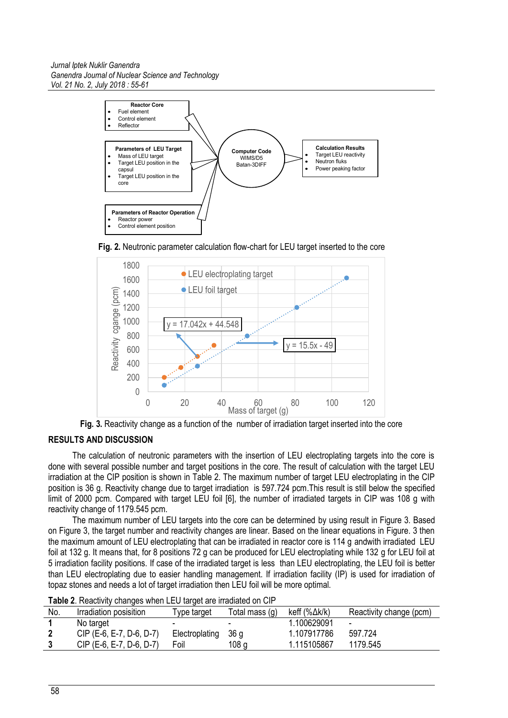#### *Jurnal Iptek Nuklir Ganendra Ganendra Journal of Nuclear Science and Technology Vol. 21 No. 2, July 2018 : 55-61*



**Fig. 2.** Neutronic parameter calculation flow-chart for LEU target inserted to the core



**Fig. 3.** Reactivity change as a function of the number of irradiation target inserted into the core

# **RESULTS AND DISCUSSION**

The calculation of neutronic parameters with the insertion of LEU electroplating targets into the core is done with several possible number and target positions in the core. The result of calculation with the target LEU irradiation at the CIP position is shown in Table 2. The maximum number of target LEU electroplating in the CIP position is 36 g. Reactivity change due to target irradiation is 597.724 pcm.This result is still below the specified limit of 2000 pcm. Compared with target LEU foil [6], the number of irradiated targets in CIP was 108 g with reactivity change of 1179.545 pcm.

The maximum number of LEU targets into the core can be determined by using result in Figure 3. Based on Figure 3, the target number and reactivity changes are linear. Based on the linear equations in Figure. 3 then the maximum amount of LEU electroplating that can be irradiated in reactor core is 114 g andwith irradiated LEU foil at 132 g. It means that, for 8 positions 72 g can be produced for LEU electroplating while 132 g for LEU foil at 5 irradiation facility positions. If case of the irradiated target is less than LEU electroplating, the LEU foil is better than LEU electroplating due to easier handling management. If irradiation facility (IP) is used for irradiation of topaz stones and needs a lot of target irradiation then LEU foil will be more optimal.

| No. | Irradiation posisition   | Type target              | Total mass (g)   | keff $(\% \Delta k/k)$ | Reactivity change (pcm) |  |  |  |
|-----|--------------------------|--------------------------|------------------|------------------------|-------------------------|--|--|--|
|     | No target                | $\overline{\phantom{0}}$ |                  | .100629091             | -                       |  |  |  |
|     | CIP (E-6, E-7, D-6, D-7) | Electroplating           | - 36 g           | 1.107917786            | 597.724                 |  |  |  |
|     | CIP (E-6, E-7, D-6, D-7) | Foil                     | 108 <sub>g</sub> | 1.115105867            | 1179.545                |  |  |  |
|     |                          |                          |                  |                        |                         |  |  |  |

**Table 2**. Reactivity changes when LEU target are irradiated on CIP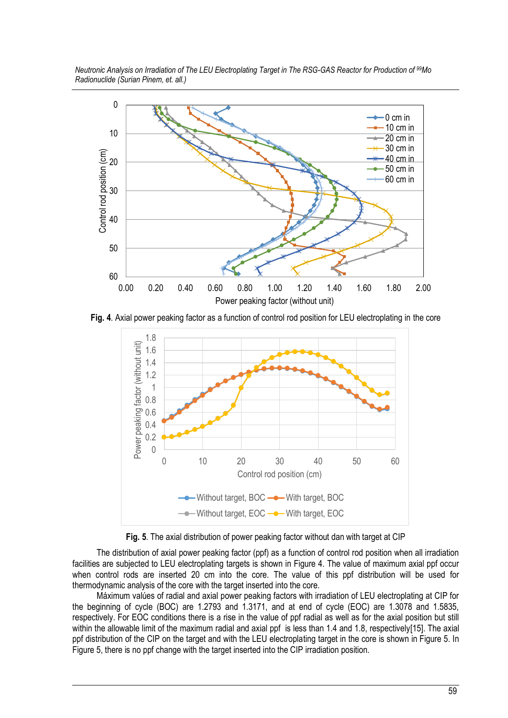*Neutronic Analysis on Irradiation of The LEU Electroplating Target in The RSG-GAS Reactor for Production of <sup>99</sup>Mo Radionuclide (Surian Pinem, et. all.)* 



**Fig. 4**. Axial power peaking factor as a function of control rod position for LEU electroplating in the core



**Fig. 5**. The axial distribution of power peaking factor without dan with target at CIP

The distribution of axial power peaking factor (ppf) as a function of control rod position when all irradiation facilities are subjected to LEU electroplating targets is shown in Figure 4. The value of maximum axial ppf occur when control rods are inserted 20 cm into the core. The value of this ppf distribution will be used for thermodynamic analysis of the core with the target inserted into the core.

Máximum valúes of radial and axial power peaking factors with irradiation of LEU electroplating at CIP for the beginning of cycle (BOC) are 1.2793 and 1.3171, and at end of cycle (EOC) are 1.3078 and 1.5835, respectively. For EOC conditions there is a rise in the value of ppf radial as well as for the axial position but still within the allowable limit of the maximum radial and axial ppf is less than 1.4 and 1.8, respectively[15]. The axial ppf distribution of the CIP on the target and with the LEU electroplating target in the core is shown in Figure 5. In Figure 5, there is no ppf change with the target inserted into the CIP irradiation position.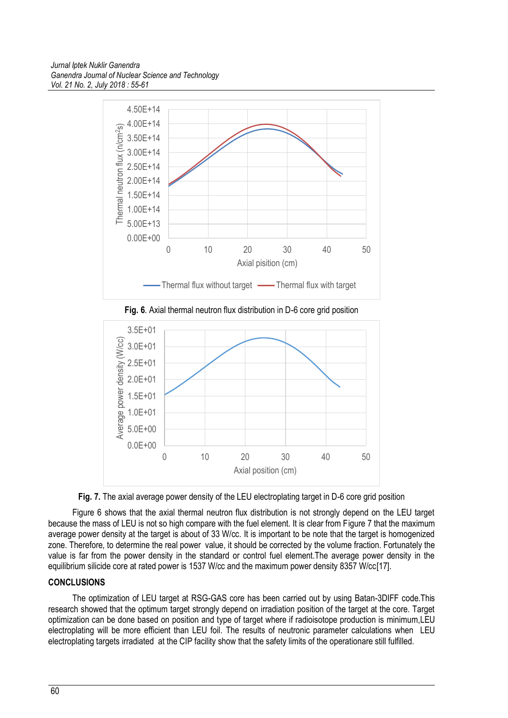





**Fig. 7.** The axial average power density of the LEU electroplating target in D-6 core grid position

Figure 6 shows that the axial thermal neutron flux distribution is not strongly depend on the LEU target because the mass of LEU is not so high compare with the fuel element. It is clear from Figure 7 that the maximum average power density at the target is about of 33 W/cc. It is important to be note that the target is homogenized zone. Therefore, to determine the real power value, it should be corrected by the volume fraction. Fortunately the value is far from the power density in the standard or control fuel element.The average power density in the equilibrium silicide core at rated power is 1537 W/cc and the maximum power density 8357 W/cc[17].

# **CONCLUSIONS**

The optimization of LEU target at RSG-GAS core has been carried out by using Batan-3DIFF code.This research showed that the optimum target strongly depend on irradiation position of the target at the core. Target optimization can be done based on position and type of target where if radioisotope production is minimum,LEU electroplating will be more efficient than LEU foil. The results of neutronic parameter calculations when LEU electroplating targets irradiated at the CIP facility show that the safety limits of the operationare still fulfilled.